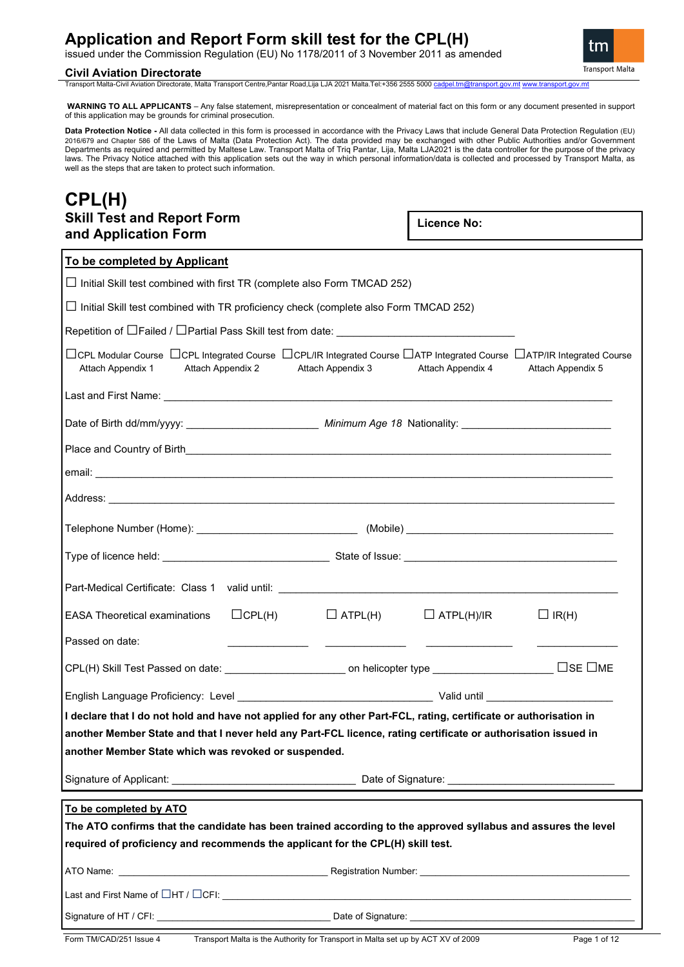## **Application and Report Form skill test for the CPL(H)**

issued under the Commission Regulation (EU) No 1178/2011 of 3 November 2011 as amended

### **Civil Aviation Directorate**

Transport Malta-Civil Aviation Directorate, Malta Transport Centre,Pantar Road,Lija LJA 2021 Malta.Tel:+356 2555 5000 ca

**WARNING TO ALL APPLICANTS** – Any false statement, misrepresentation or concealment of material fact on this form or any document presented in support of this application may be grounds for criminal prosecution.

**Data Protection Notice -** All data collected in this form is processed in accordance with the Privacy Laws that include General Data Protection Regulation (EU)<br>2016/679 and Chapter 586 of the Laws of Malta (Data Protectio Departments as required and permitted by Maltese Law. Transport Malta of Triq Pantar, Lija, Malta LJA2021 is the data controller for the purpose of the privacy laws. The Privacy Notice attached with this application sets out the way in which personal information/data is collected and processed by Transport Malta, as well as the steps that are taken to protect such information.

### **CPL(H) Skill Test and Report Form and Application Form**

**Licence No:**

| To be completed by Applicant                                                                                                                                                                                                                                                                |               |                   |                                  |                   |
|---------------------------------------------------------------------------------------------------------------------------------------------------------------------------------------------------------------------------------------------------------------------------------------------|---------------|-------------------|----------------------------------|-------------------|
| $\Box$ Initial Skill test combined with first TR (complete also Form TMCAD 252)                                                                                                                                                                                                             |               |                   |                                  |                   |
| $\Box$ Initial Skill test combined with TR proficiency check (complete also Form TMCAD 252)                                                                                                                                                                                                 |               |                   |                                  |                   |
| Repetition of $\Box$ Failed / $\Box$ Partial Pass Skill test from date:                                                                                                                                                                                                                     |               |                   |                                  |                   |
| $\Box$ CPL Modular Course $\Box$ CPL Integrated Course $\Box$ CPL/IR Integrated Course $\Box$ ATP Integrated Course $\Box$ ATP/IR Integrated Course<br>Attach Appendix 1<br>Attach Appendix 2                                                                                               |               | Attach Appendix 3 | Attach Appendix 4                | Attach Appendix 5 |
|                                                                                                                                                                                                                                                                                             |               |                   |                                  |                   |
|                                                                                                                                                                                                                                                                                             |               |                   |                                  |                   |
| Place and Country of Birth <b>Exercise Countries and Countries and Countries and Countries and Country of Birth</b>                                                                                                                                                                         |               |                   |                                  |                   |
|                                                                                                                                                                                                                                                                                             |               |                   |                                  |                   |
|                                                                                                                                                                                                                                                                                             |               |                   |                                  |                   |
| Telephone Number (Home): __________________________________ (Mobile) _______________________________                                                                                                                                                                                        |               |                   |                                  |                   |
|                                                                                                                                                                                                                                                                                             |               |                   |                                  |                   |
|                                                                                                                                                                                                                                                                                             |               |                   |                                  |                   |
| <b>EASA Theoretical examinations</b>                                                                                                                                                                                                                                                        | $\Box$ CPL(H) |                   | $\Box$ ATPL(H) $\Box$ ATPL(H)/IR | $\Box$ IR(H)      |
| Passed on date:                                                                                                                                                                                                                                                                             |               |                   |                                  |                   |
|                                                                                                                                                                                                                                                                                             |               |                   |                                  |                   |
|                                                                                                                                                                                                                                                                                             |               |                   |                                  |                   |
| I declare that I do not hold and have not applied for any other Part-FCL, rating, certificate or authorisation in<br>another Member State and that I never held any Part-FCL licence, rating certificate or authorisation issued in<br>another Member State which was revoked or suspended. |               |                   |                                  |                   |
|                                                                                                                                                                                                                                                                                             |               |                   |                                  |                   |
| To be completed by ATO                                                                                                                                                                                                                                                                      |               |                   |                                  |                   |
| The ATO confirms that the candidate has been trained according to the approved syllabus and assures the level                                                                                                                                                                               |               |                   |                                  |                   |
| required of proficiency and recommends the applicant for the CPL(H) skill test.                                                                                                                                                                                                             |               |                   |                                  |                   |
|                                                                                                                                                                                                                                                                                             |               |                   |                                  |                   |
|                                                                                                                                                                                                                                                                                             |               |                   |                                  |                   |
|                                                                                                                                                                                                                                                                                             |               |                   |                                  |                   |

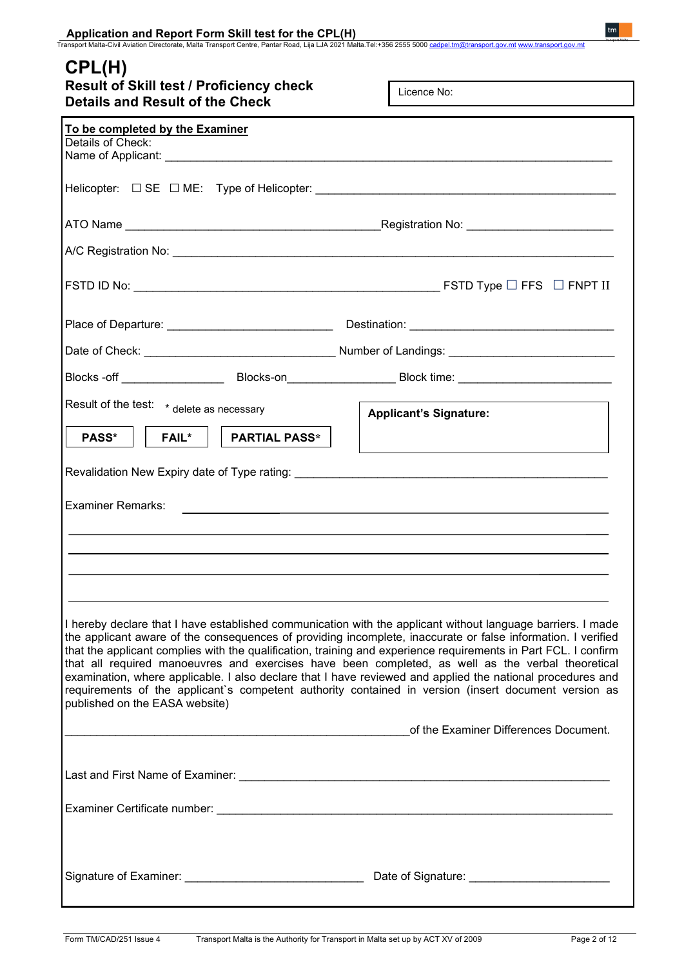| CPL(H)<br>Result of Skill test / Proficiency check<br><b>Details and Result of the Check</b> | Licence No:                                                                                                                                                                                                                                                                                                                                                                                                                                                                                                                                                                                                                                                               |
|----------------------------------------------------------------------------------------------|---------------------------------------------------------------------------------------------------------------------------------------------------------------------------------------------------------------------------------------------------------------------------------------------------------------------------------------------------------------------------------------------------------------------------------------------------------------------------------------------------------------------------------------------------------------------------------------------------------------------------------------------------------------------------|
| To be completed by the Examiner                                                              |                                                                                                                                                                                                                                                                                                                                                                                                                                                                                                                                                                                                                                                                           |
| Details of Check:                                                                            |                                                                                                                                                                                                                                                                                                                                                                                                                                                                                                                                                                                                                                                                           |
|                                                                                              |                                                                                                                                                                                                                                                                                                                                                                                                                                                                                                                                                                                                                                                                           |
|                                                                                              |                                                                                                                                                                                                                                                                                                                                                                                                                                                                                                                                                                                                                                                                           |
|                                                                                              |                                                                                                                                                                                                                                                                                                                                                                                                                                                                                                                                                                                                                                                                           |
|                                                                                              |                                                                                                                                                                                                                                                                                                                                                                                                                                                                                                                                                                                                                                                                           |
|                                                                                              |                                                                                                                                                                                                                                                                                                                                                                                                                                                                                                                                                                                                                                                                           |
|                                                                                              |                                                                                                                                                                                                                                                                                                                                                                                                                                                                                                                                                                                                                                                                           |
|                                                                                              | Blocks -off __________________________Blocks-on_______________________Block time: ____________________________                                                                                                                                                                                                                                                                                                                                                                                                                                                                                                                                                            |
| Result of the test: * delete as necessary                                                    | <b>Applicant's Signature:</b>                                                                                                                                                                                                                                                                                                                                                                                                                                                                                                                                                                                                                                             |
| PASS*<br><b>FAIL*</b><br><b>PARTIAL PASS*</b>                                                |                                                                                                                                                                                                                                                                                                                                                                                                                                                                                                                                                                                                                                                                           |
|                                                                                              |                                                                                                                                                                                                                                                                                                                                                                                                                                                                                                                                                                                                                                                                           |
| <b>Examiner Remarks:</b>                                                                     |                                                                                                                                                                                                                                                                                                                                                                                                                                                                                                                                                                                                                                                                           |
|                                                                                              |                                                                                                                                                                                                                                                                                                                                                                                                                                                                                                                                                                                                                                                                           |
|                                                                                              |                                                                                                                                                                                                                                                                                                                                                                                                                                                                                                                                                                                                                                                                           |
|                                                                                              |                                                                                                                                                                                                                                                                                                                                                                                                                                                                                                                                                                                                                                                                           |
| published on the EASA website)                                                               | I hereby declare that I have established communication with the applicant without language barriers. I made<br>the applicant aware of the consequences of providing incomplete, inaccurate or false information. I verified<br>that the applicant complies with the qualification, training and experience requirements in Part FCL. I confirm<br>that all required manoeuvres and exercises have been completed, as well as the verbal theoretical<br>examination, where applicable. I also declare that I have reviewed and applied the national procedures and<br>requirements of the applicant's competent authority contained in version (insert document version as |
|                                                                                              | of the Examiner Differences Document.                                                                                                                                                                                                                                                                                                                                                                                                                                                                                                                                                                                                                                     |
|                                                                                              |                                                                                                                                                                                                                                                                                                                                                                                                                                                                                                                                                                                                                                                                           |
|                                                                                              |                                                                                                                                                                                                                                                                                                                                                                                                                                                                                                                                                                                                                                                                           |
|                                                                                              | Date of Signature: __________________________                                                                                                                                                                                                                                                                                                                                                                                                                                                                                                                                                                                                                             |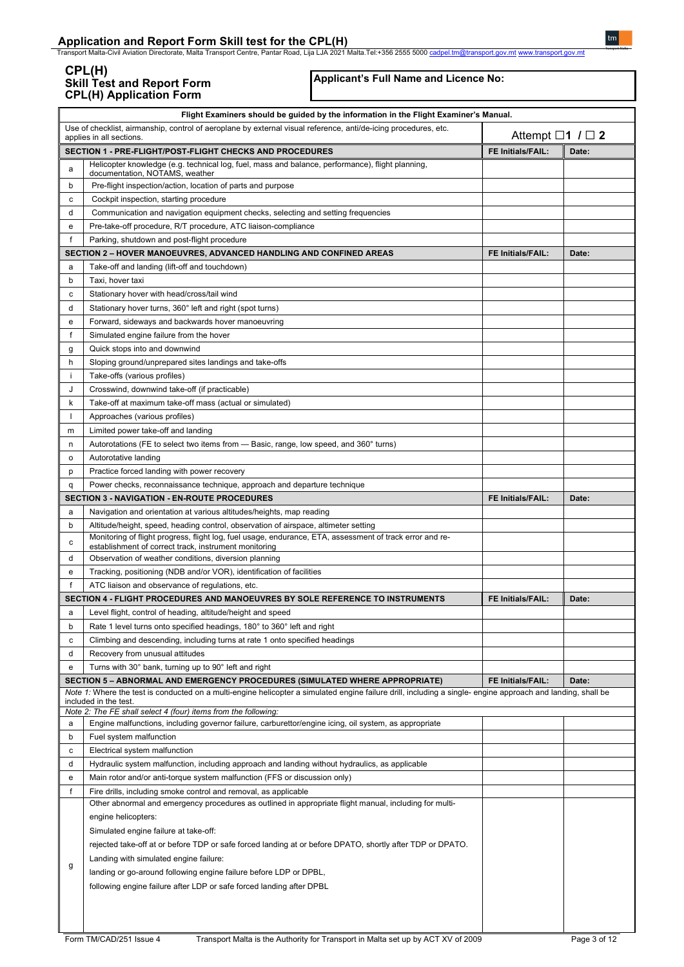Application and Report Form Skill test for the CPL(H)<br>Transport Malta-Civil Aviation Directorate, Malta Transport Centre, Pantar Road, Lija LJA 2021 Malta.Tel:+356 2555 5000 <u>[cadpel.tm@transport.gov.mt](mailto:cadpel.tm@transport.gov.mt) www.transport.gov.m</u>

### **CPL(H) Skill Test and Report Form CPL(H) Application Form**

**Applicant's Full Name and Licence No:**

|              | Flight Examiners should be guided by the information in the Flight Examiner's Manual.                                                                                                                                                                                |                           |       |
|--------------|----------------------------------------------------------------------------------------------------------------------------------------------------------------------------------------------------------------------------------------------------------------------|---------------------------|-------|
|              | Use of checklist, airmanship, control of aeroplane by external visual reference, anti/de-icing procedures, etc.<br>applies in all sections                                                                                                                           | Attempt $\Box$ 1 $\Box$ 2 |       |
|              | SECTION 1 - PRE-FLIGHT/POST-FLIGHT CHECKS AND PROCEDURES                                                                                                                                                                                                             | FE Initials/FAIL:         | Date: |
| a            | Helicopter knowledge (e.g. technical log, fuel, mass and balance, performance), flight planning,<br>documentation, NOTAMS, weather                                                                                                                                   |                           |       |
| b            | Pre-flight inspection/action, location of parts and purpose                                                                                                                                                                                                          |                           |       |
| с            | Cockpit inspection, starting procedure                                                                                                                                                                                                                               |                           |       |
| d            | Communication and navigation equipment checks, selecting and setting frequencies                                                                                                                                                                                     |                           |       |
| е            | Pre-take-off procedure, R/T procedure, ATC liaison-compliance                                                                                                                                                                                                        |                           |       |
| f            | Parking, shutdown and post-flight procedure                                                                                                                                                                                                                          |                           |       |
|              | <b>SECTION 2 - HOVER MANOEUVRES, ADVANCED HANDLING AND CONFINED AREAS</b>                                                                                                                                                                                            | FE Initials/FAIL:         | Date: |
| а            | Take-off and landing (lift-off and touchdown)                                                                                                                                                                                                                        |                           |       |
| b            | Taxi, hover taxi                                                                                                                                                                                                                                                     |                           |       |
| с            | Stationary hover with head/cross/tail wind                                                                                                                                                                                                                           |                           |       |
| d            | Stationary hover turns, 360° left and right (spot turns)                                                                                                                                                                                                             |                           |       |
| е            | Forward, sideways and backwards hover manoeuvring                                                                                                                                                                                                                    |                           |       |
| f            | Simulated engine failure from the hover                                                                                                                                                                                                                              |                           |       |
| g            | Quick stops into and downwind                                                                                                                                                                                                                                        |                           |       |
| h            | Sloping ground/unprepared sites landings and take-offs                                                                                                                                                                                                               |                           |       |
| Ť.           | Take-offs (various profiles)                                                                                                                                                                                                                                         |                           |       |
| J            | Crosswind, downwind take-off (if practicable)                                                                                                                                                                                                                        |                           |       |
| k            | Take-off at maximum take-off mass (actual or simulated)                                                                                                                                                                                                              |                           |       |
| $\mathbf{I}$ | Approaches (various profiles)                                                                                                                                                                                                                                        |                           |       |
| m            | Limited power take-off and landing                                                                                                                                                                                                                                   |                           |       |
| n            | Autorotations (FE to select two items from — Basic, range, low speed, and 360° turns)                                                                                                                                                                                |                           |       |
| о            | Autorotative landing                                                                                                                                                                                                                                                 |                           |       |
| p            | Practice forced landing with power recovery                                                                                                                                                                                                                          |                           |       |
| q            | Power checks, reconnaissance technique, approach and departure technique                                                                                                                                                                                             |                           |       |
|              | <b>SECTION 3 - NAVIGATION - EN-ROUTE PROCEDURES</b>                                                                                                                                                                                                                  | FE Initials/FAIL:         | Date: |
| а            | Navigation and orientation at various altitudes/heights, map reading                                                                                                                                                                                                 |                           |       |
| b            | Altitude/height, speed, heading control, observation of airspace, altimeter setting                                                                                                                                                                                  |                           |       |
| с            | Monitoring of flight progress, flight log, fuel usage, endurance, ETA, assessment of track error and re-<br>establishment of correct track, instrument monitoring                                                                                                    |                           |       |
| d            | Observation of weather conditions, diversion planning                                                                                                                                                                                                                |                           |       |
| е            | Tracking, positioning (NDB and/or VOR), identification of facilities                                                                                                                                                                                                 |                           |       |
| f            | ATC liaison and observance of regulations, etc.                                                                                                                                                                                                                      |                           |       |
|              | SECTION 4 - FLIGHT PROCEDURES AND MANOEUVRES BY SOLE REFERENCE TO INSTRUMENTS                                                                                                                                                                                        | <b>FE Initials/FAIL:</b>  | Date: |
| a            | Level flight, control of heading, altitude/height and speed                                                                                                                                                                                                          |                           |       |
| b            | Rate 1 level turns onto specified headings, 180° to 360° left and right                                                                                                                                                                                              |                           |       |
| с            | Climbing and descending, including turns at rate 1 onto specified headings                                                                                                                                                                                           |                           |       |
| d            | Recovery from unusual attitudes                                                                                                                                                                                                                                      |                           |       |
| е            | Turns with 30° bank, turning up to 90° left and right                                                                                                                                                                                                                |                           |       |
|              | SECTION 5 - ABNORMAL AND EMERGENCY PROCEDURES (SIMULATED WHERE APPROPRIATE)<br>Note 1: Where the test is conducted on a multi-engine helicopter a simulated engine failure drill, including a single- engine approach and landing, shall be<br>included in the test. | FE Initials/FAIL:         | Date: |
| a            | Note 2: The FE shall select 4 (four) items from the following:<br>Engine malfunctions, including governor failure, carburettor/engine icing, oil system, as appropriate                                                                                              |                           |       |
| b            |                                                                                                                                                                                                                                                                      |                           |       |
| с            | Fuel system malfunction<br>Electrical system malfunction                                                                                                                                                                                                             |                           |       |
| d            | Hydraulic system malfunction, including approach and landing without hydraulics, as applicable                                                                                                                                                                       |                           |       |
| е            | Main rotor and/or anti-torque system malfunction (FFS or discussion only)                                                                                                                                                                                            |                           |       |
| f            | Fire drills, including smoke control and removal, as applicable                                                                                                                                                                                                      |                           |       |
|              | Other abnormal and emergency procedures as outlined in appropriate flight manual, including for multi-                                                                                                                                                               |                           |       |
|              | engine helicopters:                                                                                                                                                                                                                                                  |                           |       |
|              | Simulated engine failure at take-off:                                                                                                                                                                                                                                |                           |       |
|              | rejected take-off at or before TDP or safe forced landing at or before DPATO, shortly after TDP or DPATO.                                                                                                                                                            |                           |       |
|              | Landing with simulated engine failure:                                                                                                                                                                                                                               |                           |       |
| g            |                                                                                                                                                                                                                                                                      |                           |       |
|              | landing or go-around following engine failure before LDP or DPBL,                                                                                                                                                                                                    |                           |       |
|              | following engine failure after LDP or safe forced landing after DPBL                                                                                                                                                                                                 |                           |       |
|              |                                                                                                                                                                                                                                                                      |                           |       |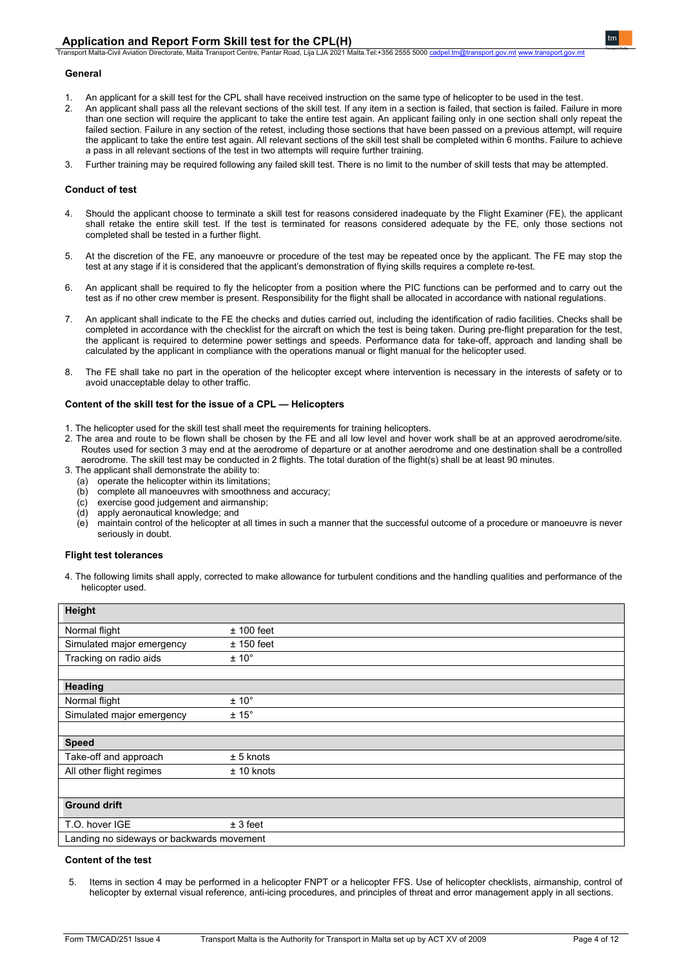Transport Malta-Civil Aviation Directorate, Malta Transport Centre, Pantar Road, Lija LJA 2021 Malta.Tel:+356 2555 5000 [cadpel.tm@transport.gov.mt](mailto:cadpel.tm@transport.gov.mt) [www.transport.gov.mt](http://www.transport.gov.mt/)

### **General**

- 1. An applicant for a skill test for the CPL shall have received instruction on the same type of helicopter to be used in the test.<br>2. An applicant shall pass all the relevant sections of the skill test. If any item in a s
- 2. An applicant shall pass all the relevant sections of the skill test. If any item in a section is failed, that section is failed. Failure in more than one section will require the applicant to take the entire test again. An applicant failing only in one section shall only repeat the failed section. Failure in any section of the retest, including those sections that have been passed on a previous attempt, will require the applicant to take the entire test again. All relevant sections of the skill test shall be completed within 6 months. Failure to achieve a pass in all relevant sections of the test in two attempts will require further training.
- 3. Further training may be required following any failed skill test. There is no limit to the number of skill tests that may be attempted.

### **Conduct of test**

- 4. Should the applicant choose to terminate a skill test for reasons considered inadequate by the Flight Examiner (FE), the applicant shall retake the entire skill test. If the test is terminated for reasons considered adequate by the FE, only those sections not completed shall be tested in a further flight.
- 5. At the discretion of the FE, any manoeuvre or procedure of the test may be repeated once by the applicant. The FE may stop the test at any stage if it is considered that the applicant's demonstration of flying skills requires a complete re-test.
- 6. An applicant shall be required to fly the helicopter from a position where the PIC functions can be performed and to carry out the test as if no other crew member is present. Responsibility for the flight shall be allocated in accordance with national regulations.
- 7. An applicant shall indicate to the FE the checks and duties carried out, including the identification of radio facilities. Checks shall be completed in accordance with the checklist for the aircraft on which the test is being taken. During pre-flight preparation for the test, the applicant is required to determine power settings and speeds. Performance data for take-off, approach and landing shall be calculated by the applicant in compliance with the operations manual or flight manual for the helicopter used.
- 8. The FE shall take no part in the operation of the helicopter except where intervention is necessary in the interests of safety or to avoid unacceptable delay to other traffic.

### **Content of the skill test for the issue of a CPL — Helicopters**

- 1. The helicopter used for the skill test shall meet the requirements for training helicopters.
- 2. The area and route to be flown shall be chosen by the FE and all low level and hover work shall be at an approved aerodrome/site. Routes used for section 3 may end at the aerodrome of departure or at another aerodrome and one destination shall be a controlled aerodrome. The skill test may be conducted in 2 flights. The total duration of the flight(s) shall be at least 90 minutes.
- 3. The applicant shall demonstrate the ability to:
	- (a) operate the helicopter within its limitations;
	- (b) complete all manoeuvres with smoothness and accuracy;<br>(c) exercise good judgement and airmanship:
	- exercise good judgement and airmanship;
	- (d) apply aeronautical knowledge; and
	- (e) maintain control of the helicopter at all times in such a manner that the successful outcome of a procedure or manoeuvre is never seriously in doubt.

### **Flight test tolerances**

4. The following limits shall apply, corrected to make allowance for turbulent conditions and the handling qualities and performance of the helicopter used.

| Height                                    |                |
|-------------------------------------------|----------------|
| Normal flight                             | $± 100$ feet   |
| Simulated major emergency                 | $± 150$ feet   |
| Tracking on radio aids                    | $± 10^{\circ}$ |
|                                           |                |
| Heading                                   |                |
| Normal flight                             | $± 10^{\circ}$ |
| Simulated major emergency                 | $± 15^\circ$   |
|                                           |                |
| <b>Speed</b>                              |                |
| Take-off and approach                     | $± 5$ knots    |
| All other flight regimes                  | $± 10$ knots   |
|                                           |                |
| <b>Ground drift</b>                       |                |
| T.O. hover IGE                            | ± 3 feet       |
| Landing no sideways or backwards movement |                |

### **Content of the test**

5. Items in section 4 may be performed in a helicopter FNPT or a helicopter FFS. Use of helicopter checklists, airmanship, control of helicopter by external visual reference, anti-icing procedures, and principles of threat and error management apply in all sections.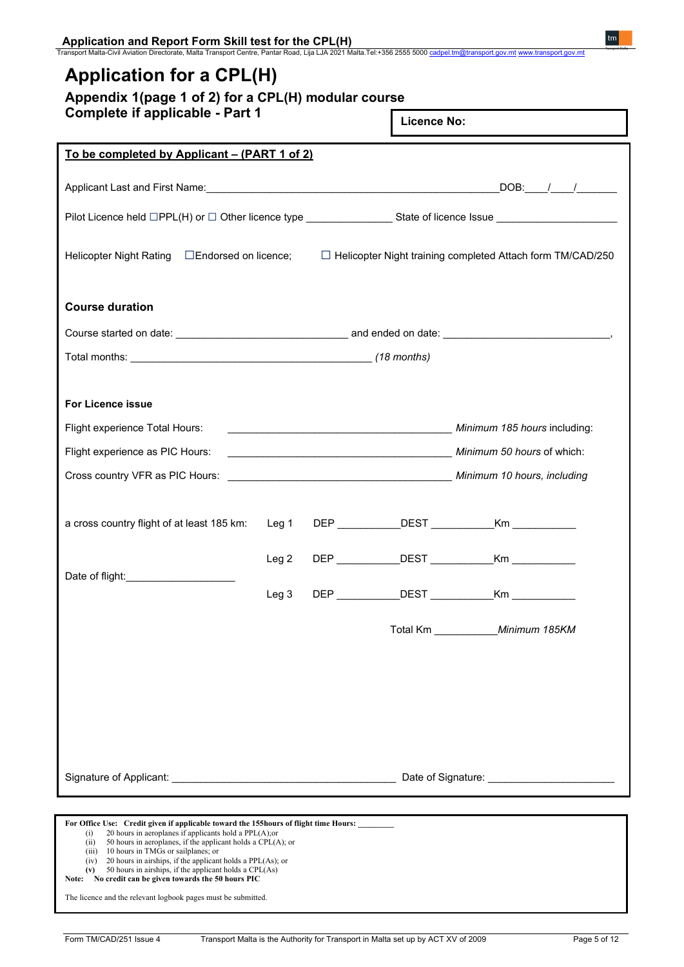| <b>Complete if applicable - Part 1</b>                                                                         |                  |                                 | <b>Licence No:</b> |                                                                   |
|----------------------------------------------------------------------------------------------------------------|------------------|---------------------------------|--------------------|-------------------------------------------------------------------|
| <u>To be completed by Applicant – (PART 1 of 2)</u>                                                            |                  |                                 |                    |                                                                   |
|                                                                                                                |                  |                                 |                    | $\sqrt{DOB:$ $1/2/2/2}$                                           |
| Pilot Licence held □PPL(H) or □ Other licence type ________________State of licence Issue ____________________ |                  |                                 |                    |                                                                   |
| Helicopter Night Rating □ Endorsed on licence;                                                                 |                  |                                 |                    | $\Box$ Helicopter Night training completed Attach form TM/CAD/250 |
| <b>Course duration</b>                                                                                         |                  |                                 |                    |                                                                   |
|                                                                                                                |                  |                                 |                    |                                                                   |
|                                                                                                                |                  |                                 |                    |                                                                   |
| <b>For Licence issue</b>                                                                                       |                  |                                 |                    |                                                                   |
| Flight experience Total Hours:                                                                                 |                  |                                 |                    | Minimum 185 hours including:                                      |
| Flight experience as PIC Hours:                                                                                |                  |                                 |                    | Minimum 50 hours of which:                                        |
|                                                                                                                |                  |                                 |                    |                                                                   |
| a cross country flight of at least 185 km:                                                                     | Leg 1            |                                 |                    | DEP DEST Km                                                       |
|                                                                                                                | Leg <sub>2</sub> |                                 |                    | DEP DEST Km                                                       |
| Date of flight:                                                                                                | Leg <sub>3</sub> | $\mathsf{DEP}\_\_\_\_\_\_\_\_\$ | <b>DEST</b>        |                                                                   |
|                                                                                                                |                  |                                 |                    | Total Km ____________ Minimum 185KM                               |
|                                                                                                                |                  |                                 |                    |                                                                   |
|                                                                                                                |                  |                                 |                    |                                                                   |
|                                                                                                                |                  |                                 |                    |                                                                   |
| Signature of Applicant: example and the set of Signature and Date of Signature:                                |                  |                                 |                    |                                                                   |
|                                                                                                                |                  |                                 |                    |                                                                   |

The licence and the relevant logbook pages must be submitted.

 $tm$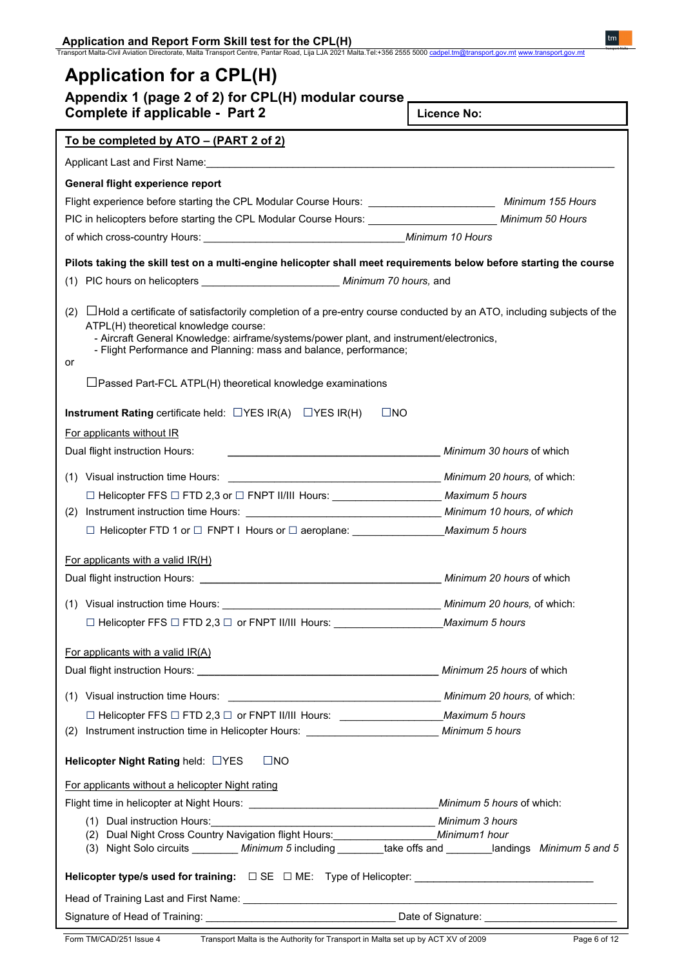# **Application for a CPL(H)**

| Appendix 1 (page 2 of 2) for CPL(H) modular course, |  |  |  |  |  |
|-----------------------------------------------------|--|--|--|--|--|
|-----------------------------------------------------|--|--|--|--|--|

**Complete if applicable - Part 2**

**Licence No:**

| To be completed by ATO – (PART 2 of 2)                                                                                            |                           |
|-----------------------------------------------------------------------------------------------------------------------------------|---------------------------|
|                                                                                                                                   |                           |
| General flight experience report                                                                                                  |                           |
| Flight experience before starting the CPL Modular Course Hours: __________________________ Minimum 155 Hours                      |                           |
| PIC in helicopters before starting the CPL Modular Course Hours: _________________________ Minimum 50 Hours                       |                           |
|                                                                                                                                   |                           |
| Pilots taking the skill test on a multi-engine helicopter shall meet requirements below before starting the course                |                           |
| (1) PIC hours on helicopters ______________________________ Minimum 70 hours, and                                                 |                           |
|                                                                                                                                   |                           |
| $(2)$ $\Box$ Hold a certificate of satisfactorily completion of a pre-entry course conducted by an ATO, including subjects of the |                           |
| ATPL(H) theoretical knowledge course:<br>- Aircraft General Knowledge: airframe/systems/power plant, and instrument/electronics,  |                           |
| - Flight Performance and Planning: mass and balance, performance;                                                                 |                           |
| or                                                                                                                                |                           |
| $\Box$ Passed Part-FCL ATPL(H) theoretical knowledge examinations                                                                 |                           |
| Instrument Rating certificate held: $\Box$ YES IR(A) $\Box$ YES IR(H)<br>$\Box$ NO                                                |                           |
| For applicants without IR                                                                                                         |                           |
| Dual flight instruction Hours:<br>Minimum 30 hours of which                                                                       |                           |
|                                                                                                                                   |                           |
|                                                                                                                                   |                           |
| □ Helicopter FFS □ FTD 2,3 or □ FNPT II/III Hours: ______________________________ Maximum 5 hours                                 |                           |
|                                                                                                                                   |                           |
| □ Helicopter FTD 1 or □ FNPT I Hours or □ aeroplane: ___________________________Maximum 5 hours                                   |                           |
| For applicants with a valid IR(H)                                                                                                 |                           |
|                                                                                                                                   |                           |
|                                                                                                                                   |                           |
|                                                                                                                                   |                           |
|                                                                                                                                   |                           |
| For applicants with a valid IR(A)                                                                                                 |                           |
|                                                                                                                                   | Minimum 25 hours of which |
|                                                                                                                                   |                           |
|                                                                                                                                   |                           |
|                                                                                                                                   |                           |
|                                                                                                                                   |                           |
| $\square$ NO<br>Helicopter Night Rating held: UYES                                                                                |                           |
| For applicants without a helicopter Night rating                                                                                  |                           |
|                                                                                                                                   |                           |
| (1) Dual instruction Hours:<br>Minimum 3 hours                                                                                    |                           |
| (2) Dual Night Cross Country Navigation flight Hours: __________________________ Minimum1 hour                                    |                           |
| (3) Night Solo circuits ________ Minimum 5 including _______take offs and ______landings Minimum 5 and 5                          |                           |
|                                                                                                                                   |                           |
|                                                                                                                                   |                           |
|                                                                                                                                   |                           |

I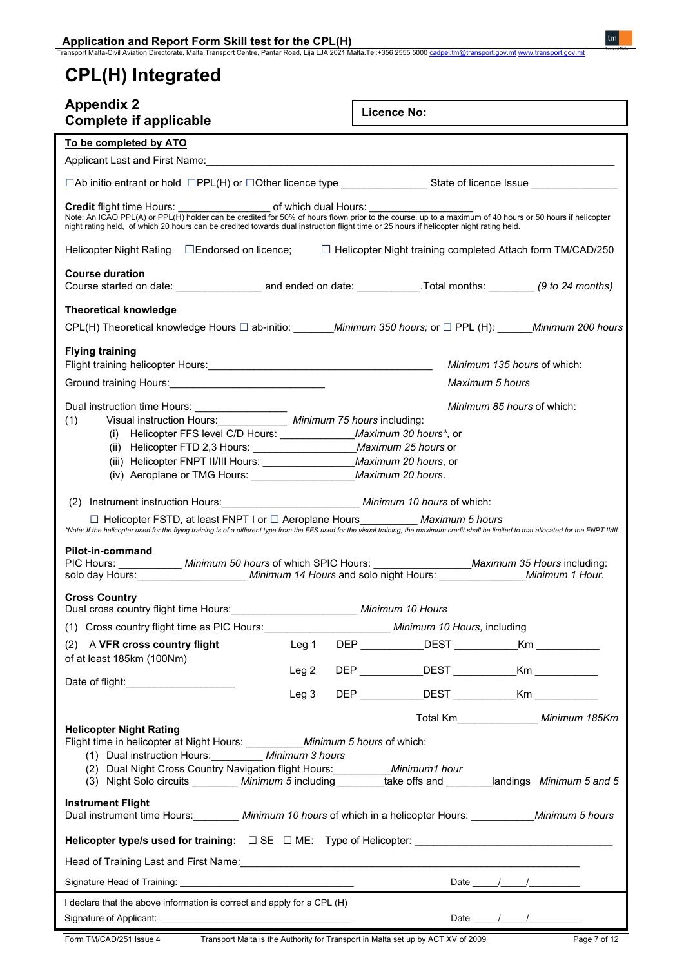# **CPL(H) Integrated**

| <b>Appendix 2</b><br><b>Complete if applicable</b>                                                                                                                                                                                                                                                                                                                                                                                                                                                                                                                      | <b>Licence No:</b>                                    |
|-------------------------------------------------------------------------------------------------------------------------------------------------------------------------------------------------------------------------------------------------------------------------------------------------------------------------------------------------------------------------------------------------------------------------------------------------------------------------------------------------------------------------------------------------------------------------|-------------------------------------------------------|
| To be completed by ATO                                                                                                                                                                                                                                                                                                                                                                                                                                                                                                                                                  |                                                       |
| Applicant Last and First Name: Manual Applicant Last and First Name: Manual Applicant Last and First Name: Manual Applicant Applicant Applicant Applicant Applicant Applicant Applicant Applicant Applicant Applicant Applican                                                                                                                                                                                                                                                                                                                                          |                                                       |
| $\Box$ Ab initio entrant or hold $\Box$ PPL(H) or $\Box$ Other licence type State of licence Issue $\Box$                                                                                                                                                                                                                                                                                                                                                                                                                                                               |                                                       |
| Credit flight time Hours: _______________________ of which dual Hours: __________<br>Note: An ICAO PPL(A) or PPL(H) holder can be credited for 50% of hours flown prior to the course, up to a maximum of 40 hours or 50 hours if helicopter<br>night rating held, of which 20 hours can be credited towards dual instruction flight time or 25 hours if helicopter night rating held.                                                                                                                                                                                  |                                                       |
| Helicopter Night Rating □Endorsed on licence; □ Helicopter Night training completed Attach form TM/CAD/250                                                                                                                                                                                                                                                                                                                                                                                                                                                              |                                                       |
| <b>Course duration</b>                                                                                                                                                                                                                                                                                                                                                                                                                                                                                                                                                  |                                                       |
| <b>Theoretical knowledge</b>                                                                                                                                                                                                                                                                                                                                                                                                                                                                                                                                            |                                                       |
| CPL(H) Theoretical knowledge Hours □ ab-initio: Minimum 350 hours; or □ PPL (H): Minimum 200 hours                                                                                                                                                                                                                                                                                                                                                                                                                                                                      |                                                       |
| <b>Flying training</b>                                                                                                                                                                                                                                                                                                                                                                                                                                                                                                                                                  | Minimum 135 hours of which:                           |
|                                                                                                                                                                                                                                                                                                                                                                                                                                                                                                                                                                         | Maximum 5 hours                                       |
| Dual instruction time Hours: _________________<br>Visual instruction Hours: ____________ Minimum 75 hours including:<br>(1)<br>(i) Helicopter FFS level C/D Hours: _______________ Maximum 30 hours*, or<br>(iv) Aeroplane or TMG Hours: _______________________ Maximum 20 hours.                                                                                                                                                                                                                                                                                      | <i>Minimum 85 hours</i> of which:                     |
| (2) Instrument instruction Hours: Minimum 10 hours of which:<br>□ Helicopter FSTD, at least FNPT I or □ Aeroplane Hours __________ Maximum 5 hours<br>*Note: If the helicopter used for the flying training is of a different type from the FFS used for the visual training, the maximum credit shall be limited to that allocated for the FNPT II/II.<br>Pilot-in-command<br>PIC Hours: _____________ Minimum 50 hours of which SPIC Hours: ___________________ Maximum 35 Hours including:<br>solo day Hours: Minimum 14 Hours and solo night Hours: Minimum 1 Hour. |                                                       |
| <b>Cross Country</b><br>Dual cross country flight time Hours:                                                                                                                                                                                                                                                                                                                                                                                                                                                                                                           | Minimum 10 Hours                                      |
|                                                                                                                                                                                                                                                                                                                                                                                                                                                                                                                                                                         |                                                       |
| (2) A VFR cross country flight                                                                                                                                                                                                                                                                                                                                                                                                                                                                                                                                          | Leg 1 DEP ___________DEST ____________Km ____________ |
| of at least 185km (100Nm)<br>Leg 2                                                                                                                                                                                                                                                                                                                                                                                                                                                                                                                                      | DEP _____________DEST _____________Km ____________    |
| Date of flight: Date of flight:<br>Leg <sub>3</sub>                                                                                                                                                                                                                                                                                                                                                                                                                                                                                                                     | DEP DEST Km                                           |
| <b>Helicopter Night Rating</b><br>Flight time in helicopter at Night Hours: ___________ Minimum 5 hours of which:<br>(1) Dual instruction Hours: Minimum 3 hours<br>(2) Dual Night Cross Country Navigation flight Hours: __________ Minimum1 hour<br>(3) Night Solo circuits ________ Minimum 5 including _______take offs and _______landings Minimum 5 and 5                                                                                                                                                                                                         | Total Km_________________ Minimum 185Km               |
| <b>Instrument Flight</b><br>Dual instrument time Hours: Minimum 10 hours of which in a helicopter Hours: Minimum 5 hours                                                                                                                                                                                                                                                                                                                                                                                                                                                |                                                       |
| Helicopter type/s used for training: □ SE □ ME: Type of Helicopter: _______________________________                                                                                                                                                                                                                                                                                                                                                                                                                                                                     |                                                       |
|                                                                                                                                                                                                                                                                                                                                                                                                                                                                                                                                                                         |                                                       |
|                                                                                                                                                                                                                                                                                                                                                                                                                                                                                                                                                                         | Date $\frac{1}{\sqrt{2\pi}}$                          |
| I declare that the above information is correct and apply for a CPL (H)                                                                                                                                                                                                                                                                                                                                                                                                                                                                                                 | Date $\frac{1}{\sqrt{2\pi}}$                          |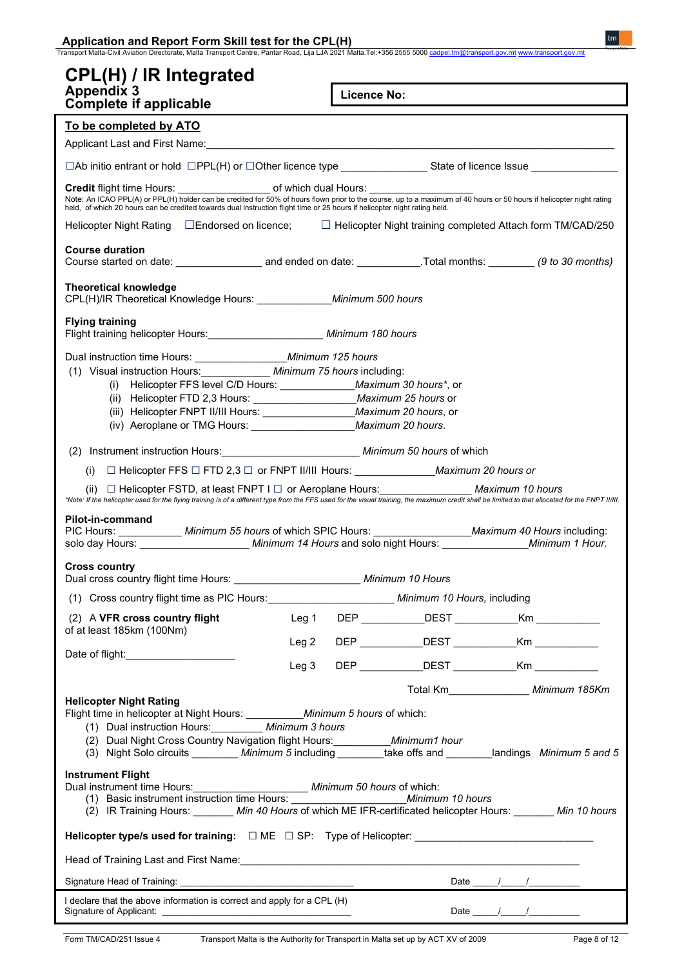|  | Application and Report Form Skill test for the CPL(H) |  |  |
|--|-------------------------------------------------------|--|--|
|  |                                                       |  |  |

### **CPL(H) / IR Integrated Appendix 3**

**Licence No:**

| Complete if applicable                                                                                                                                                                                                                                                                            |                  |            |                                                     |
|---------------------------------------------------------------------------------------------------------------------------------------------------------------------------------------------------------------------------------------------------------------------------------------------------|------------------|------------|-----------------------------------------------------|
| To be completed by ATO                                                                                                                                                                                                                                                                            |                  |            |                                                     |
|                                                                                                                                                                                                                                                                                                   |                  |            |                                                     |
|                                                                                                                                                                                                                                                                                                   |                  |            |                                                     |
| Note: An ICAO PPL(A) or PPL(H) holder can be credited for 50% of hours flown prior to the course, up to a maximum of 40 hours or 50 hours if helicopter night rating<br>held, of which 20 hours can be credited towards dual instruction flight time or 25 hours if helicopter night rating held. |                  |            |                                                     |
| Helicopter Night Rating □Endorsed on licence; □ Helicopter Night training completed Attach form TM/CAD/250                                                                                                                                                                                        |                  |            |                                                     |
| <b>Course duration</b>                                                                                                                                                                                                                                                                            |                  |            |                                                     |
| <b>Theoretical knowledge</b><br>CPL(H)/IR Theoretical Knowledge Hours: _______________ Minimum 500 hours                                                                                                                                                                                          |                  |            |                                                     |
| <b>Flying training</b><br>Flight training helicopter Hours: ________________________ Minimum 180 hours                                                                                                                                                                                            |                  |            |                                                     |
| Dual instruction time Hours: ______________________ Minimum 125 hours                                                                                                                                                                                                                             |                  |            |                                                     |
| (1) Visual instruction Hours: ____________ Minimum 75 hours including:                                                                                                                                                                                                                            |                  |            |                                                     |
| (i) Helicopter FFS level C/D Hours: ______________ Maximum 30 hours*, or                                                                                                                                                                                                                          |                  |            |                                                     |
| (ii) Helicopter FTD 2,3 Hours: _________________________ Maximum 25 hours or                                                                                                                                                                                                                      |                  |            |                                                     |
|                                                                                                                                                                                                                                                                                                   |                  |            |                                                     |
| (iv) Aeroplane or TMG Hours: _______________________ Maximum 20 hours.                                                                                                                                                                                                                            |                  |            |                                                     |
| (2) Instrument instruction Hours: _________________________________ Minimum 50 hours of which                                                                                                                                                                                                     |                  |            |                                                     |
|                                                                                                                                                                                                                                                                                                   |                  |            |                                                     |
| (ii) □ Helicopter FSTD, at least FNPT I □ or Aeroplane Hours: Maximum 10 hours                                                                                                                                                                                                                    |                  |            |                                                     |
| Pilot-in-command<br>PIC Hours: ____________ Minimum 55 hours of which SPIC Hours: __________________ Maximum 40 Hours including:<br>solo day Hours: Minimum 14 Hours and solo night Hours: Minimum 1 Hour.<br><b>Cross country</b><br>Dual cross country flight time Hours: Minimum 10 Hours      |                  |            |                                                     |
| (1) Cross country flight time as PIC Hours: Minimum 10 Hours, including                                                                                                                                                                                                                           |                  |            |                                                     |
| (2) A VFR cross country flight                                                                                                                                                                                                                                                                    | Leg 1            | <b>DEP</b> | DEST Km                                             |
| of at least 185km (100Nm)                                                                                                                                                                                                                                                                         |                  |            | DEP _____________DEST ______________Km ____________ |
| Date of flight:______________________                                                                                                                                                                                                                                                             | Leg 2            |            |                                                     |
|                                                                                                                                                                                                                                                                                                   | Leg <sub>3</sub> |            | DEP _____________DEST _____________Km ___________   |
|                                                                                                                                                                                                                                                                                                   |                  |            | Total Km__________________ Minimum 185Km            |
| <b>Helicopter Night Rating</b><br>Flight time in helicopter at Night Hours: ____________ Minimum 5 hours of which:<br>(1) Dual instruction Hours: _________ Minimum 3 hours                                                                                                                       |                  |            |                                                     |
|                                                                                                                                                                                                                                                                                                   |                  |            |                                                     |
| <b>Instrument Flight</b><br>(2) IR Training Hours: ______ Min 40 Hours of which ME IFR-certificated helicopter Hours: ______ Min 10 hours                                                                                                                                                         |                  |            |                                                     |
| Helicopter type/s used for training: □ ME □ SP: Type of Helicopter: _______________________________                                                                                                                                                                                               |                  |            |                                                     |
|                                                                                                                                                                                                                                                                                                   |                  |            |                                                     |
|                                                                                                                                                                                                                                                                                                   |                  |            |                                                     |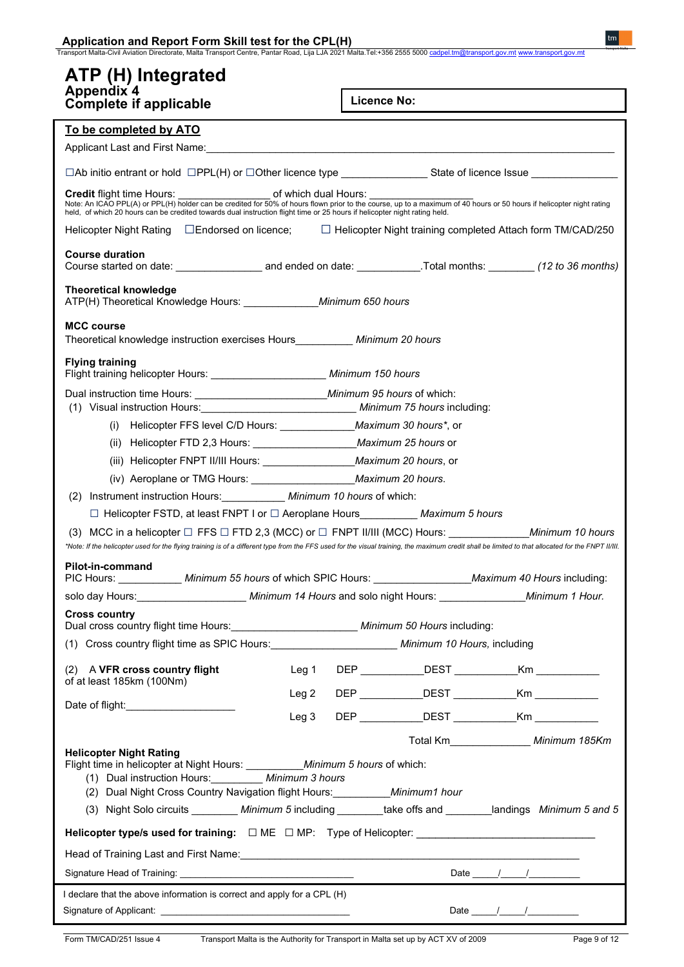| Application and Report Form Skill test for the CPL(H) |
|-------------------------------------------------------|
|-------------------------------------------------------|

### **ATP (H) Integrated Appendix 4**

**Licence No:**

| Complete if applicable                                                                                                    | <b>LICENCE NO:</b>                                                                                                                                                                                                                                                                                                                                                                                                          |
|---------------------------------------------------------------------------------------------------------------------------|-----------------------------------------------------------------------------------------------------------------------------------------------------------------------------------------------------------------------------------------------------------------------------------------------------------------------------------------------------------------------------------------------------------------------------|
| To be completed by ATO                                                                                                    |                                                                                                                                                                                                                                                                                                                                                                                                                             |
|                                                                                                                           |                                                                                                                                                                                                                                                                                                                                                                                                                             |
|                                                                                                                           | □Ab initio entrant or hold □PPL(H) or □Other licence type _______________State of licence Issue ______________                                                                                                                                                                                                                                                                                                              |
|                                                                                                                           | <b>Credit flight time Hours:</b> of which dual Hours:<br>Note: An ICAO PPL(A) or PPL(H) holder can be credited for 50% of hours flown prior to the course, up to a maximum of 40 hours or 50 hours if helicopter night rating                                                                                                                                                                                               |
| held, of which 20 hours can be credited towards dual instruction flight time or 25 hours if helicopter night rating held. |                                                                                                                                                                                                                                                                                                                                                                                                                             |
|                                                                                                                           | Helicopter Night Rating □Endorsed on licence; □ Helicopter Night training completed Attach form TM/CAD/250                                                                                                                                                                                                                                                                                                                  |
| <b>Course duration</b>                                                                                                    |                                                                                                                                                                                                                                                                                                                                                                                                                             |
| <b>Theoretical knowledge</b><br>ATP(H) Theoretical Knowledge Hours: ______________ Minimum 650 hours                      |                                                                                                                                                                                                                                                                                                                                                                                                                             |
| <b>MCC course</b><br>Theoretical knowledge instruction exercises Hours__________ Minimum 20 hours                         |                                                                                                                                                                                                                                                                                                                                                                                                                             |
| <b>Flying training</b><br>Flight training helicopter Hours: _________________________ Minimum 150 hours                   |                                                                                                                                                                                                                                                                                                                                                                                                                             |
| (1) Visual instruction Hours: ___________________________________ Minimum 75 hours including:                             |                                                                                                                                                                                                                                                                                                                                                                                                                             |
| (i) Helicopter FFS level C/D Hours: ________________ Maximum 30 hours*, or                                                |                                                                                                                                                                                                                                                                                                                                                                                                                             |
|                                                                                                                           |                                                                                                                                                                                                                                                                                                                                                                                                                             |
|                                                                                                                           |                                                                                                                                                                                                                                                                                                                                                                                                                             |
| (iv) Aeroplane or TMG Hours: ____________________________ Maximum 20 hours.                                               |                                                                                                                                                                                                                                                                                                                                                                                                                             |
| Instrument instruction Hours: ____________ Minimum 10 hours of which:<br>(2)                                              |                                                                                                                                                                                                                                                                                                                                                                                                                             |
| □ Helicopter FSTD, at least FNPT I or □ Aeroplane Hours_________ Maximum 5 hours                                          |                                                                                                                                                                                                                                                                                                                                                                                                                             |
|                                                                                                                           | *Note: If the helicopter used for the flying training is of a different type from the FFS used for the visual training, the maximum credit shall be limited to that allocated for the FNPT II/II.                                                                                                                                                                                                                           |
| Pilot-in-command                                                                                                          | PIC Hours: ____________ Minimum 55 hours of which SPIC Hours: ___________________ Maximum 40 Hours including:                                                                                                                                                                                                                                                                                                               |
|                                                                                                                           | solo day Hours: Minimum 14 Hours and solo night Hours: Minimum 1 Hour.                                                                                                                                                                                                                                                                                                                                                      |
| <b>Cross country</b><br>Dual cross country flight time Hours:<br><u> Late and announce</u> Minimum 50 Hours including:    |                                                                                                                                                                                                                                                                                                                                                                                                                             |
|                                                                                                                           |                                                                                                                                                                                                                                                                                                                                                                                                                             |
| (2) A VFR cross country flight<br>Leg 1                                                                                   | DEP DEST Km                                                                                                                                                                                                                                                                                                                                                                                                                 |
| of at least 185km (100Nm)<br>Leg 2                                                                                        | DEP ______________DEST _____________Km ____________                                                                                                                                                                                                                                                                                                                                                                         |
| Date of flight: ________________________<br>Leg 3                                                                         | DEP DEST Km                                                                                                                                                                                                                                                                                                                                                                                                                 |
|                                                                                                                           | Total Km_________________ Minimum 185Km                                                                                                                                                                                                                                                                                                                                                                                     |
| <b>Helicopter Night Rating</b><br>Flight time in helicopter at Night Hours: ___________ Minimum 5 hours of which:         |                                                                                                                                                                                                                                                                                                                                                                                                                             |
| (1) Dual instruction Hours: Minimum 3 hours                                                                               |                                                                                                                                                                                                                                                                                                                                                                                                                             |
| (2) Dual Night Cross Country Navigation flight Hours: __________ Minimum1 hour                                            |                                                                                                                                                                                                                                                                                                                                                                                                                             |
|                                                                                                                           | (3) Night Solo circuits ________ Minimum 5 including ________take offs and _______landings Minimum 5 and 5                                                                                                                                                                                                                                                                                                                  |
|                                                                                                                           | Helicopter type/s used for training: □ ME □ MP: Type of Helicopter: _______________________________                                                                                                                                                                                                                                                                                                                         |
|                                                                                                                           |                                                                                                                                                                                                                                                                                                                                                                                                                             |
|                                                                                                                           | Date $\frac{1}{\sqrt{2\pi}}$                                                                                                                                                                                                                                                                                                                                                                                                |
| I declare that the above information is correct and apply for a CPL (H)                                                   |                                                                                                                                                                                                                                                                                                                                                                                                                             |
|                                                                                                                           | Date $\frac{1}{\sqrt{1-\frac{1}{2}}}\frac{1}{\sqrt{1-\frac{1}{2}}}\frac{1}{\sqrt{1-\frac{1}{2}}}\frac{1}{\sqrt{1-\frac{1}{2}}}\frac{1}{\sqrt{1-\frac{1}{2}}}\frac{1}{\sqrt{1-\frac{1}{2}}}\frac{1}{\sqrt{1-\frac{1}{2}}}\frac{1}{\sqrt{1-\frac{1}{2}}}\frac{1}{\sqrt{1-\frac{1}{2}}}\frac{1}{\sqrt{1-\frac{1}{2}}}\frac{1}{\sqrt{1-\frac{1}{2}}}\frac{1}{\sqrt{1-\frac{1}{2}}}\frac{1}{\sqrt{1-\frac{1}{2}}}\frac{1}{\sqrt$ |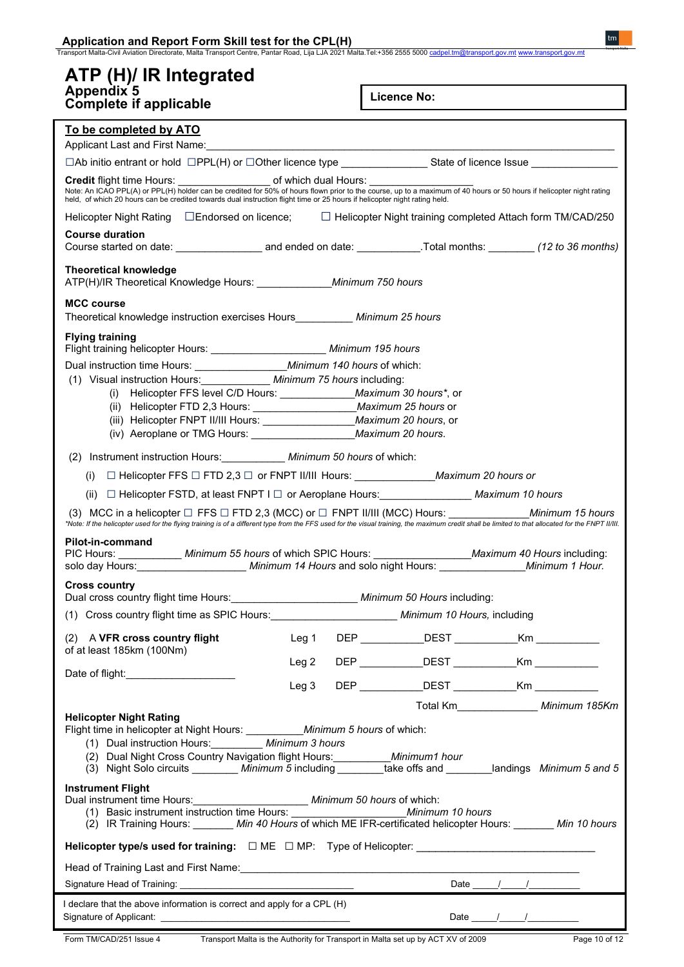| Application and Report Form Skill test for the CPL(H)<br>Transport Malta-Civil Aviation Directorate, Malta Transport Centre, Pantar Road, Lija LJA 2021 Malta Tel:+356 2555 5000 <u>cadpel.tm@transport.gov.mt</u> www.t <u>ransport.gov.mt</u>                                                                  |                                                                                                                                                                                                                                                                                                                                                            |  |                                                         |                              |                                         |  |  |
|------------------------------------------------------------------------------------------------------------------------------------------------------------------------------------------------------------------------------------------------------------------------------------------------------------------|------------------------------------------------------------------------------------------------------------------------------------------------------------------------------------------------------------------------------------------------------------------------------------------------------------------------------------------------------------|--|---------------------------------------------------------|------------------------------|-----------------------------------------|--|--|
|                                                                                                                                                                                                                                                                                                                  |                                                                                                                                                                                                                                                                                                                                                            |  |                                                         |                              |                                         |  |  |
| ATP (H)/ IR Integrated<br><b>Appendix 5</b>                                                                                                                                                                                                                                                                      |                                                                                                                                                                                                                                                                                                                                                            |  | <b>Licence No:</b>                                      |                              |                                         |  |  |
| <b>Complete if applicable</b>                                                                                                                                                                                                                                                                                    |                                                                                                                                                                                                                                                                                                                                                            |  |                                                         |                              |                                         |  |  |
| To be completed by ATO                                                                                                                                                                                                                                                                                           |                                                                                                                                                                                                                                                                                                                                                            |  |                                                         |                              |                                         |  |  |
|                                                                                                                                                                                                                                                                                                                  |                                                                                                                                                                                                                                                                                                                                                            |  |                                                         |                              |                                         |  |  |
|                                                                                                                                                                                                                                                                                                                  |                                                                                                                                                                                                                                                                                                                                                            |  |                                                         |                              |                                         |  |  |
|                                                                                                                                                                                                                                                                                                                  | <b>Credit flight time Hours:</b> of which dual Hours:<br>Note: An ICAO PPL(A) or PPL(H) holder can be credited for 50% of hours flown prior to the course, up to a maximum of 40 hours or 50 hours if helicopter night rating<br>held, of which 20 hours can be credited towards dual instruction flight time or 25 hours if helicopter night rating held. |  |                                                         |                              |                                         |  |  |
| Helicopter Night Rating □Endorsed on licence; □□Helicopter Night training completed Attach form TM/CAD/250                                                                                                                                                                                                       |                                                                                                                                                                                                                                                                                                                                                            |  |                                                         |                              |                                         |  |  |
| <b>Course duration</b>                                                                                                                                                                                                                                                                                           |                                                                                                                                                                                                                                                                                                                                                            |  |                                                         |                              |                                         |  |  |
| <b>Theoretical knowledge</b><br>ATP(H)/IR Theoretical Knowledge Hours: _____________ Minimum 750 hours                                                                                                                                                                                                           |                                                                                                                                                                                                                                                                                                                                                            |  |                                                         |                              |                                         |  |  |
| <b>MCC course</b>                                                                                                                                                                                                                                                                                                |                                                                                                                                                                                                                                                                                                                                                            |  |                                                         |                              |                                         |  |  |
| Theoretical knowledge instruction exercises Hours __________ Minimum 25 hours                                                                                                                                                                                                                                    |                                                                                                                                                                                                                                                                                                                                                            |  |                                                         |                              |                                         |  |  |
| <b>Flying training</b><br>Flight training helicopter Hours: _________________________ Minimum 195 hours                                                                                                                                                                                                          |                                                                                                                                                                                                                                                                                                                                                            |  |                                                         |                              |                                         |  |  |
|                                                                                                                                                                                                                                                                                                                  |                                                                                                                                                                                                                                                                                                                                                            |  |                                                         |                              |                                         |  |  |
| (1) Visual instruction Hours: _____________ Minimum 75 hours including:<br>(i) Helicopter FFS level C/D Hours: ______________ Maximum 30 hours*, or                                                                                                                                                              |                                                                                                                                                                                                                                                                                                                                                            |  |                                                         |                              |                                         |  |  |
| (ii) Helicopter FTD 2,3 Hours: _________________________ Maximum 25 hours or                                                                                                                                                                                                                                     |                                                                                                                                                                                                                                                                                                                                                            |  |                                                         |                              |                                         |  |  |
|                                                                                                                                                                                                                                                                                                                  |                                                                                                                                                                                                                                                                                                                                                            |  |                                                         |                              |                                         |  |  |
| (iv) Aeroplane or TMG Hours: ______________________ Maximum 20 hours.                                                                                                                                                                                                                                            |                                                                                                                                                                                                                                                                                                                                                            |  |                                                         |                              |                                         |  |  |
| (2) Instrument instruction Hours: ___________ Minimum 50 hours of which:                                                                                                                                                                                                                                         |                                                                                                                                                                                                                                                                                                                                                            |  |                                                         |                              |                                         |  |  |
| (i) □ Helicopter FFS □ FTD 2,3 □ or FNPT II/III Hours: ______________________Maximum 20 hours or                                                                                                                                                                                                                 |                                                                                                                                                                                                                                                                                                                                                            |  |                                                         |                              |                                         |  |  |
| □ Helicopter FSTD, at least FNPT I □ or Aeroplane Hours: Maximum 10 hours<br>(ii)                                                                                                                                                                                                                                |                                                                                                                                                                                                                                                                                                                                                            |  |                                                         |                              |                                         |  |  |
| (3) MCC in a helicopter $\Box$ FFS $\Box$ FTD 2,3 (MCC) or $\Box$ FNPT II/III (MCC) Hours: Minimum 15 hours<br>*Note: If the helicopter used for the flying training is of a different type from the FFS used for the visual training, the maximum credit shall be limited to that allocated for the FNPT II/II. |                                                                                                                                                                                                                                                                                                                                                            |  |                                                         |                              |                                         |  |  |
| Pilot-in-command                                                                                                                                                                                                                                                                                                 |                                                                                                                                                                                                                                                                                                                                                            |  |                                                         |                              |                                         |  |  |
| PIC Hours:<br>Minimum 55 hours of which SPIC Hours: Maximum 40 Hours including:<br>solo day Hours: Minimum 14 Hours and solo night Hours: Minimum 1 Hour.                                                                                                                                                        |                                                                                                                                                                                                                                                                                                                                                            |  |                                                         |                              |                                         |  |  |
| <b>Cross country</b>                                                                                                                                                                                                                                                                                             |                                                                                                                                                                                                                                                                                                                                                            |  |                                                         |                              |                                         |  |  |
| Dual cross country flight time Hours: _________________________ Minimum 50 Hours including:                                                                                                                                                                                                                      |                                                                                                                                                                                                                                                                                                                                                            |  |                                                         |                              |                                         |  |  |
|                                                                                                                                                                                                                                                                                                                  |                                                                                                                                                                                                                                                                                                                                                            |  |                                                         |                              |                                         |  |  |
| (2) A VFR cross country flight                                                                                                                                                                                                                                                                                   |                                                                                                                                                                                                                                                                                                                                                            |  | Leg 1 DEP DEST Km                                       |                              |                                         |  |  |
| of at least 185km (100Nm)                                                                                                                                                                                                                                                                                        |                                                                                                                                                                                                                                                                                                                                                            |  | Leg 2 DEP ____________DEST _____________Km ____________ |                              |                                         |  |  |
|                                                                                                                                                                                                                                                                                                                  | Leg <sub>3</sub>                                                                                                                                                                                                                                                                                                                                           |  | DEP _____________DEST _____________Km ___________       |                              |                                         |  |  |
|                                                                                                                                                                                                                                                                                                                  |                                                                                                                                                                                                                                                                                                                                                            |  |                                                         |                              | Total Km_________________ Minimum 185Km |  |  |
| <b>Helicopter Night Rating</b><br>Flight time in helicopter at Night Hours: ___________ Minimum 5 hours of which:                                                                                                                                                                                                |                                                                                                                                                                                                                                                                                                                                                            |  |                                                         |                              |                                         |  |  |
| (1) Dual instruction Hours: _________ Minimum 3 hours                                                                                                                                                                                                                                                            |                                                                                                                                                                                                                                                                                                                                                            |  |                                                         |                              |                                         |  |  |
| (2) Dual Night Cross Country Navigation flight Hours: __________ Minimum1 hour<br>(3) Night Solo circuits _________ Minimum 5 including _________take offs and ________landings Minimum 5 and 5                                                                                                                  |                                                                                                                                                                                                                                                                                                                                                            |  |                                                         |                              |                                         |  |  |
| <b>Instrument Flight</b>                                                                                                                                                                                                                                                                                         |                                                                                                                                                                                                                                                                                                                                                            |  |                                                         |                              |                                         |  |  |
| Dual instrument time Hours: ________________________ Minimum 50 hours of which:                                                                                                                                                                                                                                  |                                                                                                                                                                                                                                                                                                                                                            |  |                                                         |                              |                                         |  |  |
| (2) IR Training Hours: _______ Min 40 Hours of which ME IFR-certificated helicopter Hours: _______ Min 10 hours                                                                                                                                                                                                  |                                                                                                                                                                                                                                                                                                                                                            |  |                                                         |                              |                                         |  |  |
| Helicopter type/s used for training: □ ME □ MP: Type of Helicopter: _______________________________                                                                                                                                                                                                              |                                                                                                                                                                                                                                                                                                                                                            |  |                                                         |                              |                                         |  |  |
|                                                                                                                                                                                                                                                                                                                  |                                                                                                                                                                                                                                                                                                                                                            |  |                                                         |                              |                                         |  |  |
|                                                                                                                                                                                                                                                                                                                  |                                                                                                                                                                                                                                                                                                                                                            |  |                                                         | Date $\frac{1}{\sqrt{2\pi}}$ |                                         |  |  |
| I declare that the above information is correct and apply for a CPL (H)                                                                                                                                                                                                                                          |                                                                                                                                                                                                                                                                                                                                                            |  |                                                         |                              | Date $\frac{1}{\sqrt{2\pi}}$            |  |  |
|                                                                                                                                                                                                                                                                                                                  |                                                                                                                                                                                                                                                                                                                                                            |  |                                                         |                              |                                         |  |  |

 $tm$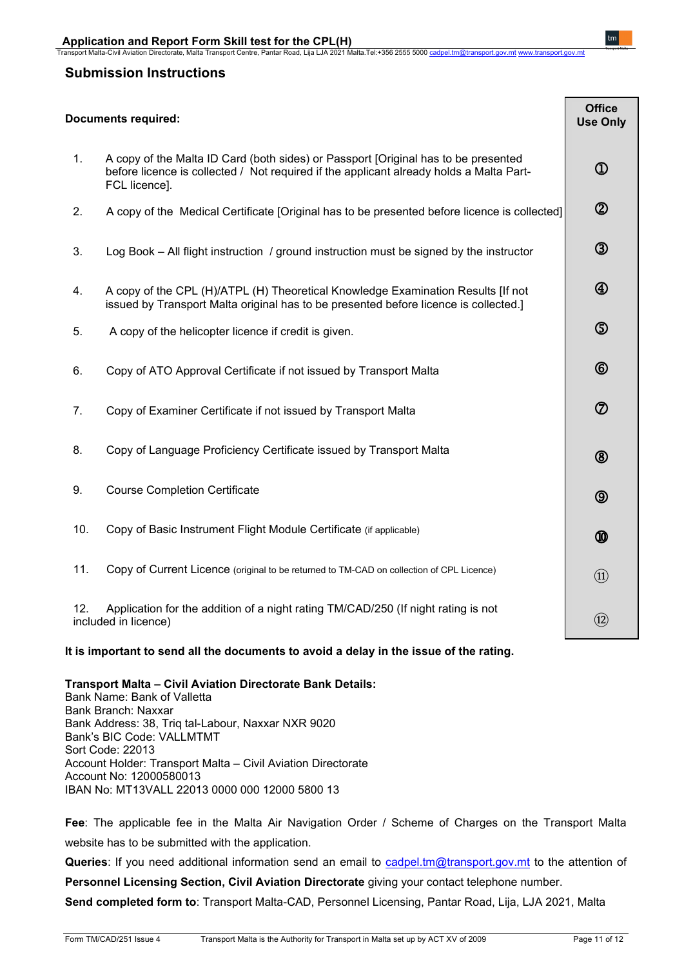### **Submission Instructions**

|     | <b>Documents required:</b>                                                                                                                                                                     | <b>Office</b><br><b>Use Only</b> |
|-----|------------------------------------------------------------------------------------------------------------------------------------------------------------------------------------------------|----------------------------------|
| 1.  | A copy of the Malta ID Card (both sides) or Passport [Original has to be presented<br>before licence is collected / Not required if the applicant already holds a Malta Part-<br>FCL licence]. | $^\mathrm{\textregistered}$      |
| 2.  | A copy of the Medical Certificate [Original has to be presented before licence is collected]                                                                                                   | $^{\circledR}$                   |
| 3.  | Log Book – All flight instruction / ground instruction must be signed by the instructor                                                                                                        | $\circledS$                      |
| 4.  | A copy of the CPL (H)/ATPL (H) Theoretical Knowledge Examination Results [If not<br>issued by Transport Malta original has to be presented before licence is collected.]                       | $^{\circledR}$                   |
| 5.  | A copy of the helicopter licence if credit is given.                                                                                                                                           | $\circledS$                      |
| 6.  | Copy of ATO Approval Certificate if not issued by Transport Malta                                                                                                                              | $\circledR$                      |
| 7.  | Copy of Examiner Certificate if not issued by Transport Malta                                                                                                                                  | $\circledD$                      |
| 8.  | Copy of Language Proficiency Certificate issued by Transport Malta                                                                                                                             | $^{\circledR}$                   |
| 9.  | <b>Course Completion Certificate</b>                                                                                                                                                           | $\circledcirc$                   |
| 10. | Copy of Basic Instrument Flight Module Certificate (if applicable)                                                                                                                             | $^{\circledR}$                   |
| 11. | Copy of Current Licence (original to be returned to TM-CAD on collection of CPL Licence)                                                                                                       | $\textcircled{\scriptsize{1}}$   |
| 12. | Application for the addition of a night rating TM/CAD/250 (If night rating is not<br>included in licence)                                                                                      | $\circled{12}$                   |

**It is important to send all the documents to avoid a delay in the issue of the rating.**

**Transport Malta – Civil Aviation Directorate Bank Details:** 

Bank Name: Bank of Valletta Bank Branch: Naxxar Bank Address: 38, Triq tal-Labour, Naxxar NXR 9020 Bank's BIC Code: VALLMTMT Sort Code: 22013 Account Holder: Transport Malta – Civil Aviation Directorate Account No: 12000580013 IBAN No: MT13VALL 22013 0000 000 12000 5800 13

**Fee**: The applicable fee in the Malta Air Navigation Order / Scheme of Charges on the Transport Malta website has to be submitted with the application.

**Queries**: If you need additional information send an email to [cadpel.tm@transport.gov.mt](mailto:cadpel.tm@transport.gov.mt) to the attention of

**Personnel Licensing Section, Civil Aviation Directorate** giving your contact telephone number.

**Send completed form to**: Transport Malta-CAD, Personnel Licensing, Pantar Road, Lija, LJA 2021, Malta